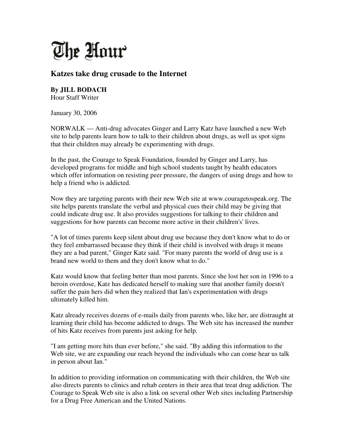

## **Katzes take drug crusade to the Internet**

**By JILL BODACH** Hour Staff Writer

January 30, 2006

NORWALK — Anti-drug advocates Ginger and Larry Katz have launched a new Web site to help parents learn how to talk to their children about drugs, as well as spot signs that their children may already be experimenting with drugs.

In the past, the Courage to Speak Foundation, founded by Ginger and Larry, has developed programs for middle and high school students taught by health educators which offer information on resisting peer pressure, the dangers of using drugs and how to help a friend who is addicted.

Now they are targeting parents with their new Web site at www.couragetospeak.org. The site helps parents translate the verbal and physical cues their child may be giving that could indicate drug use. It also provides suggestions for talking to their children and suggestions for how parents can become more active in their children's' lives.

"A lot of times parents keep silent about drug use because they don't know what to do or they feel embarrassed because they think if their child is involved with drugs it means they are a bad parent," Ginger Katz said. "For many parents the world of drug use is a brand new world to them and they don't know what to do."

Katz would know that feeling better than most parents. Since she lost her son in 1996 to a heroin overdose, Katz has dedicated herself to making sure that another family doesn't suffer the pain hers did when they realized that Ian's experimentation with drugs ultimately killed him.

Katz already receives dozens of e-mails daily from parents who, like her, are distraught at learning their child has become addicted to drugs. The Web site has increased the number of hits Katz receives from parents just asking for help.

"I am getting more hits than ever before," she said. "By adding this information to the Web site, we are expanding our reach beyond the individuals who can come hear us talk in person about Ian."

In addition to providing information on communicating with their children, the Web site also directs parents to clinics and rehab centers in their area that treat drug addiction. The Courage to Speak Web site is also a link on several other Web sites including Partnership for a Drug Free American and the United Nations.